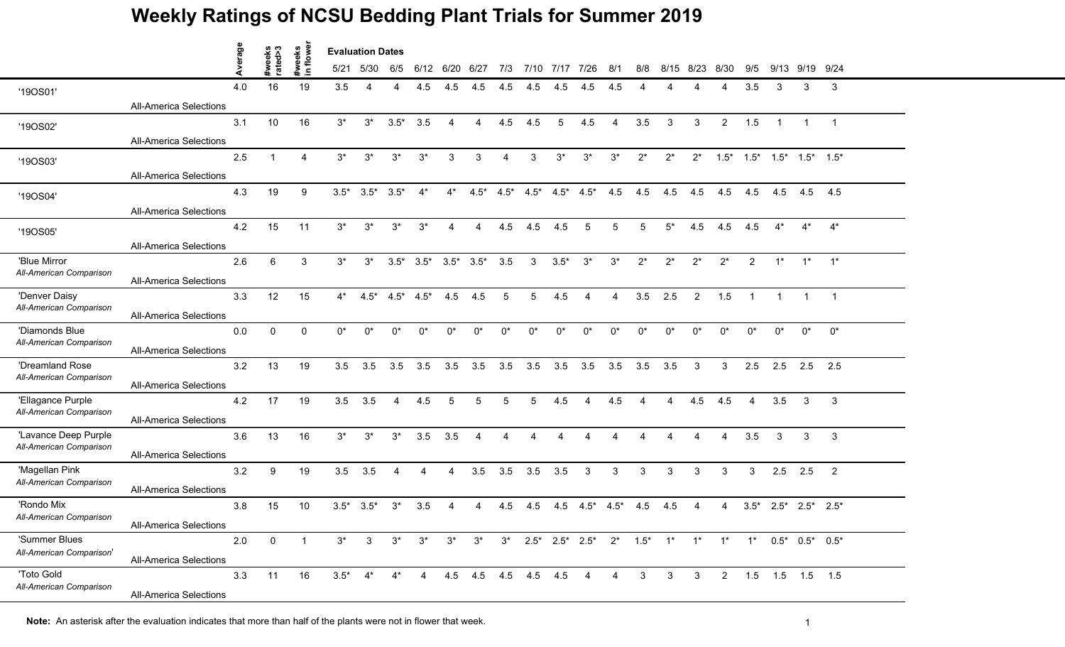|                          |                               | erage | #weeks<br>in flower<br>#weeks<br>rated>3<br><b>Evaluation Dates</b> |                |                 |                 |                |                 |                        |                        |                |                     |                |                          |                        |                |                |                |                                                   |                |                                                 |                |                |  |
|--------------------------|-------------------------------|-------|---------------------------------------------------------------------|----------------|-----------------|-----------------|----------------|-----------------|------------------------|------------------------|----------------|---------------------|----------------|--------------------------|------------------------|----------------|----------------|----------------|---------------------------------------------------|----------------|-------------------------------------------------|----------------|----------------|--|
|                          |                               | રે    |                                                                     |                | 5/21            | 5/30            | 6/5            |                 | 6/12 6/20 6/27         |                        | 7/3            |                     | 7/10 7/17 7/26 |                          | -8/1                   | 8/8            | 8/15 8/23      |                | 8/30                                              | 9/5            |                                                 | 9/13 9/19 9/24 |                |  |
| '190S01'                 |                               | 4.0   | 16                                                                  | 19             | 3.5             | Δ               |                | 4.5             | 4.5                    | 4.5                    | 4.5            | 4.5                 | 4.5            | 4.5                      | 4.5                    |                |                |                |                                                   | 3.5            | 3                                               | 3              | 3              |  |
|                          | <b>All-America Selections</b> |       |                                                                     |                |                 |                 |                |                 |                        |                        |                |                     |                |                          |                        |                |                |                |                                                   |                |                                                 |                |                |  |
| '190S02'                 |                               | 3.1   | 10                                                                  | 16             | $3^*$           | $3^*$           | $3.5*$         | 3.5             | $\boldsymbol{\Lambda}$ | $\boldsymbol{\Lambda}$ | 4.5            | 4.5                 | 5              | 4.5                      | 4                      | 3.5            | 3              | 3              | $\overline{2}$                                    | 1.5            | $\overline{1}$                                  |                | $\overline{1}$ |  |
|                          | <b>All-America Selections</b> |       |                                                                     |                |                 |                 |                |                 |                        |                        |                |                     |                |                          |                        |                |                |                |                                                   |                |                                                 |                |                |  |
| '190S03'                 |                               | 2.5   | 1                                                                   | $\overline{4}$ | $3^*$           | $3^*$           | $3^*$          | $3^*$           | 3                      | 3                      | Δ              | 3                   | $3^*$          | $3^*$                    | $3^*$                  | $2^*$          | $2^*$          | $2^*$          |                                                   |                | $1.5^*$ $1.5^*$ $1.5^*$ $1.5^*$ $1.5^*$ $1.5^*$ |                |                |  |
|                          | <b>All-America Selections</b> |       |                                                                     |                |                 |                 |                |                 |                        |                        |                |                     |                |                          |                        |                |                |                |                                                   |                |                                                 |                |                |  |
| '190S04'                 |                               | 4.3   | 19                                                                  | 9              |                 | $3.5^*$ $3.5^*$ | $3.5*$         | $4^*$           | $4^*$                  | $4.5*$                 |                | $4.5^*$ $4.5^*$     | $4.5*$         | $4.5*$                   | 4.5                    | 4.5            | 4.5            | 4.5            | 4.5                                               | 4.5            | 4.5                                             | 4.5 4.5        |                |  |
|                          | <b>All-America Selections</b> |       |                                                                     |                |                 |                 |                |                 |                        |                        |                |                     |                |                          |                        |                |                |                |                                                   |                |                                                 |                |                |  |
| '190S05'                 |                               | 4.2   | 15                                                                  | 11             | $3^*$           | $3^*$           | $3^*$          | $3^*$           | Δ                      | Δ                      | 4.5            | 4.5                 | 4.5            | 5                        | 5                      | 5              | $5*$           | 4.5            | 4.5                                               | 4.5            | $4^*$                                           | $4^*$          | $4^*$          |  |
|                          | <b>All-America Selections</b> |       |                                                                     |                |                 |                 |                |                 |                        |                        |                |                     |                |                          |                        |                |                |                |                                                   |                |                                                 |                |                |  |
| 'Blue Mirror             |                               | 2.6   | 6                                                                   | 3              | $3^*$           | $3^*$           | $3.5*$         | $3.5^*$         | $3.5^*$ $3.5^*$        |                        | 3.5            | 3                   | $3.5*$         | $3^*$                    | $3^*$                  | $2^*$          | $2^*$          | $2^*$          | $2^*$                                             | $\overline{2}$ | $1^*$                                           | $1^*$          | $1^*$          |  |
| All-American Comparison  | <b>All-America Selections</b> |       |                                                                     |                |                 |                 |                |                 |                        |                        |                |                     |                |                          |                        |                |                |                |                                                   |                |                                                 |                |                |  |
| 'Denver Daisy            |                               | 3.3   | 12                                                                  | 15             | $4^*$           | $4.5*$          |                | $4.5^*$ $4.5^*$ | 4.5                    | 4.5                    | 5              | 5                   | 4.5            | $\overline{4}$           | $\boldsymbol{\Lambda}$ | 3.5            | 2.5            | $\overline{2}$ | 1.5                                               | -1             | $\overline{1}$                                  | $\overline{1}$ | $\overline{1}$ |  |
| All-American Comparison  | <b>All-America Selections</b> |       |                                                                     |                |                 |                 |                |                 |                        |                        |                |                     |                |                          |                        |                |                |                |                                                   |                |                                                 |                |                |  |
| 'Diamonds Blue           |                               | 0.0   | $\Omega$                                                            | $\mathbf 0$    | $0^*$           | $0^*$           | $0^*$          | $0^*$           | $0^*$                  | $^{\circ}$             | $^{\circ}$     | $^{\circ}$          | $0^*$          | $^{\circ}$               | $0*$                   | $0^*$          | $0^*$          | $0^*$          | $0^*$                                             | $0^*$          | $0^*$                                           | $0^*$          | $0^*$          |  |
| All-American Comparison  | <b>All-America Selections</b> |       |                                                                     |                |                 |                 |                |                 |                        |                        |                |                     |                |                          |                        |                |                |                |                                                   |                |                                                 |                |                |  |
| 'Dreamland Rose          |                               | 3.2   | 13                                                                  | 19             | 3.5             | 3.5             | 3.5            | 3.5             | 3.5                    | 3.5                    | 3.5            | 3.5                 | 3.5            | 3.5                      | 3.5                    | 3.5            | 3.5            | 3              | 3                                                 | 2.5            | 2.5                                             | 2.5            | 2.5            |  |
| All-American Comparison  | <b>All-America Selections</b> |       |                                                                     |                |                 |                 |                |                 |                        |                        |                |                     |                |                          |                        |                |                |                |                                                   |                |                                                 |                |                |  |
| 'Ellagance Purple        |                               | 4.2   | 17                                                                  | 19             | 3.5             | 3.5             | $\overline{4}$ | 4.5             | 5                      | 5                      | $\overline{5}$ | 5                   | 4.5            | $\boldsymbol{\varDelta}$ | 4.5                    | Δ              | 4              | 4.5            | 4.5                                               | $\overline{4}$ | 3.5                                             | 3              | 3              |  |
| All-American Comparison  | <b>All-America Selections</b> |       |                                                                     |                |                 |                 |                |                 |                        |                        |                |                     |                |                          |                        |                |                |                |                                                   |                |                                                 |                |                |  |
| 'Lavance Deep Purple     |                               | 3.6   | 13                                                                  | 16             | $3^*$           | $3^*$           | $3^*$          | 3.5             | 3.5                    | Δ                      | Δ              | Δ                   | Δ              |                          | Δ                      | Δ              | Δ              | Δ              | $\boldsymbol{\Lambda}$                            | 3.5            | 3                                               | 3              | 3              |  |
| All-American Comparison  | <b>All-America Selections</b> |       |                                                                     |                |                 |                 |                |                 |                        |                        |                |                     |                |                          |                        |                |                |                |                                                   |                |                                                 |                |                |  |
| 'Magellan Pink           |                               | 3.2   | 9                                                                   | 19             | 3.5             | 3.5             | Δ              | 4               | $\overline{4}$         | 3.5                    | 3.5            | 3.5                 | 3.5            | 3                        | 3                      | 3              | 3              | 3              | 3                                                 | 3              | 2.5                                             | 2.5            | $\overline{2}$ |  |
| All-American Comparison  | <b>All-America Selections</b> |       |                                                                     |                |                 |                 |                |                 |                        |                        |                |                     |                |                          |                        |                |                |                |                                                   |                |                                                 |                |                |  |
| 'Rondo Mix               |                               | 3.8   | 15                                                                  | 10             | $3.5^*$ $3.5^*$ |                 | $3^*$          | 3.5             |                        |                        | 4.5            | 4.5                 | 4.5            | $4.5*$                   | $4.5*$                 | 4.5            | 4.5            |                | 4                                                 |                | $3.5^*$ $2.5^*$ $2.5^*$ $2.5^*$                 |                |                |  |
| All-American Comparison  | <b>All-America Selections</b> |       |                                                                     |                |                 |                 |                |                 |                        |                        |                |                     |                |                          |                        |                |                |                |                                                   |                |                                                 |                |                |  |
| 'Summer Blues            |                               | 2.0   | $\mathbf{0}$                                                        | $\overline{1}$ | $3^*$           | 3               | $3^*$          | $3^*$           | $3^*$                  | $3^*$                  | $3^*$          |                     |                |                          |                        |                |                |                | 2.5* 2.5* 2.5* 2* 1.5* 1* 1* 1* 1* 0.5* 0.5* 0.5* |                |                                                 |                |                |  |
| All-American Comparison' | <b>All-America Selections</b> |       |                                                                     |                |                 |                 |                |                 |                        |                        |                |                     |                |                          |                        |                |                |                |                                                   |                |                                                 |                |                |  |
| 'Toto Gold               |                               | 3.3   | 11                                                                  | 16             | $3.5*$          | $4^*$           | $4^*$          | 4               |                        |                        |                | 4.5 4.5 4.5 4.5 4.5 |                | $\overline{4}$           | $\overline{4}$         | 3 <sup>1</sup> | 3 <sup>3</sup> | $\mathbf{3}$   |                                                   |                | 2  1.5  1.5  1.5  1.5                           |                |                |  |
| All-American Comparison  | All-America Selections        |       |                                                                     |                |                 |                 |                |                 |                        |                        |                |                     |                |                          |                        |                |                |                |                                                   |                |                                                 |                |                |  |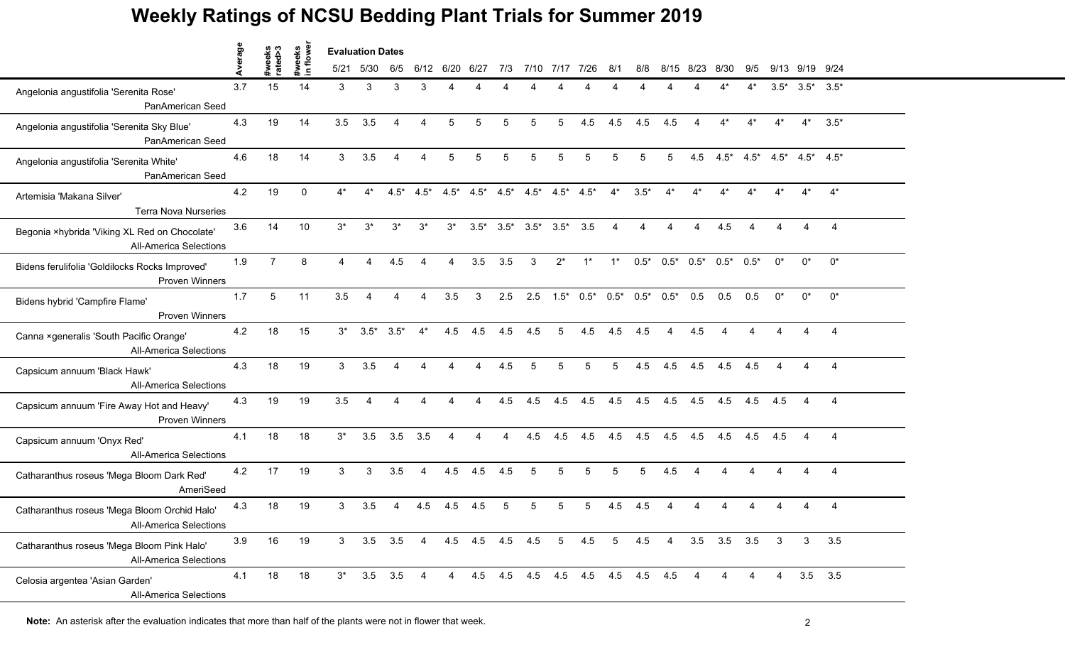|                                                                                | erage |                   |                     |                        | <b>Evaluation Dates</b> |                           |                          |                |                                 |                        |                                 |                        |              |                 |        |                |                        |                                 |      |              |                         |                |
|--------------------------------------------------------------------------------|-------|-------------------|---------------------|------------------------|-------------------------|---------------------------|--------------------------|----------------|---------------------------------|------------------------|---------------------------------|------------------------|--------------|-----------------|--------|----------------|------------------------|---------------------------------|------|--------------|-------------------------|----------------|
|                                                                                |       | #weeks<br>rated>3 | #weeks<br>in flower | 5/21                   | 5/30                    | 6/5                       |                          | 6/12 6/20 6/27 |                                 | 7/3                    |                                 | 7/10 7/17 7/26         |              | 8/1             | 8/8    |                | 8/15 8/23 8/30         |                                 | 9/5  |              | 9/13 9/19 9/24          |                |
| Angelonia angustifolia 'Serenita Rose'<br>PanAmerican Seed                     | 3.7   | 15                | 14                  | 3                      | 3                       | 3                         | з                        |                |                                 |                        |                                 |                        |              |                 |        |                |                        |                                 |      |              | $3.5^*$ $3.5^*$ $3.5^*$ |                |
| Angelonia angustifolia 'Serenita Sky Blue'<br>PanAmerican Seed                 | 4.3   | 19                | 14                  | 3.5                    | 3.5                     | $\boldsymbol{\Lambda}$    | 4                        | 5              | 5                               | 5                      | 5                               | 5                      | 4.5          | 4.5             | 4.5    | 4.5            | $\boldsymbol{\Lambda}$ | $4^*$                           | $4*$ | $4^*$        | $4^*$                   | $3.5*$         |
| Angelonia angustifolia 'Serenita White'<br>PanAmerican Seed                    | 4.6   | 18                | 14                  | 3                      | 3.5                     | $\mathbf 4$               | $\boldsymbol{\varDelta}$ | 5              | 5                               | $5\phantom{.0}$        | 5                               | 5                      | 5            | $5\phantom{.0}$ | 5      | 5              |                        | $4.5$ $4.5^*$ $4.5^*$           |      |              | $4.5^*$ $4.5^*$ $4.5^*$ |                |
| Artemisia 'Makana Silver'<br><b>Terra Nova Nurseries</b>                       | 4.2   | 19                | $\Omega$            | $4^*$                  | $4^*$                   | $4.5*$                    | $4.5*$                   |                | $4.5^*$ $4.5^*$                 |                        | $4.5^*$ $4.5^*$ $4.5^*$ $4.5^*$ |                        |              | $4^*$           | $3.5*$ | $4^*$          | $4*$                   | $4*$                            |      | $4^*$        | 4*                      | $4^*$          |
| Begonia ×hybrida 'Viking XL Red on Chocolate'<br><b>All-America Selections</b> | 3.6   | 14                | 10                  | $3^*$                  | $3^*$                   | $3^*$                     | $3^*$                    | $3^*$          | $3.5*$                          | $3.5*$                 | $3.5*$                          | $3.5*$                 | 3.5          |                 |        |                |                        | 4.5                             |      |              |                         | $\overline{A}$ |
| Bidens ferulifolia 'Goldilocks Rocks Improved'<br><b>Proven Winners</b>        | 1.9   | $\overline{7}$    | 8                   | $\boldsymbol{\Lambda}$ | $\overline{A}$          | 4.5                       | $\overline{4}$           | 4              | 3.5                             | 3.5                    | 3                               | $2^*$                  | $1^*$        | $1^*$           | $0.5*$ |                |                        | $0.5^*$ $0.5^*$ $0.5^*$ $0.5^*$ |      | $0^*$        | $0^*$                   | $0^*$          |
| Bidens hybrid 'Campfire Flame'<br><b>Proven Winners</b>                        | 1.7   | 5                 | 11                  | 3.5                    | 4                       | 4                         | 4                        | 3.5            | 3                               | 2.5                    | 2.5                             | $1.5^*$ 0.5* 0.5* 0.5* |              |                 |        | $0.5*$         | 0.5                    | 0.5                             | 0.5  | $0^*$        | $0^*$                   | $0^*$          |
| Canna × generalis 'South Pacific Orange'<br><b>All-America Selections</b>      | 4.2   | 18                | 15                  | $3^*$                  | $3.5*$                  | $3.5*$                    | $4^*$                    | 4.5            | 4.5                             | 4.5                    | 4.5                             | 5                      | 4.5          | 4.5             | 4.5    | 4              | 4.5                    | $\boldsymbol{\varDelta}$        |      |              |                         | 4              |
| Capsicum annuum 'Black Hawk'<br><b>All-America Selections</b>                  | 4.3   | 18                | 19                  | 3                      | 3.5                     |                           |                          |                |                                 | 4.5                    | 5                               | 5                      | 5            | 5               | 4.5    | 4.5            | 4.5                    | 4.5                             | 4.5  |              |                         | $\overline{A}$ |
| Capsicum annuum 'Fire Away Hot and Heavy'<br><b>Proven Winners</b>             | 4.3   | 19                | 19                  | 3.5                    | $\Delta$                | $\boldsymbol{\varLambda}$ | Δ                        |                | Δ                               | 4.5                    | 4.5                             | 4.5                    | 4.5          | 4.5             | 4.5    | 4.5            | 4.5                    | 4.5                             | 4.5  | 4.5          | 4                       | $\overline{4}$ |
| Capsicum annuum 'Onyx Red'<br><b>All-America Selections</b>                    | 4.1   | 18                | 18                  | $3^*$                  | 3.5                     | 3.5                       | 3.5                      | Δ              | $\Delta$                        | $\boldsymbol{\Lambda}$ | 4.5                             | 4.5                    | 4.5          | 4.5             | 4.5    | 4.5            | 4.5                    | 4.5                             | 4.5  | 4.5          | $\overline{A}$          | $\overline{4}$ |
| Catharanthus roseus 'Mega Bloom Dark Red'<br>AmeriSeed                         | 4.2   | 17                | 19                  | 3                      | 3                       | 3.5                       | $\overline{4}$           | 4.5            | 4.5                             | 4.5                    | 5                               | 5                      | 5            | 5               | 5      | 4.5            |                        |                                 |      |              |                         | 4              |
| Catharanthus roseus 'Mega Bloom Orchid Halo'<br><b>All-America Selections</b>  | 4.3   | 18                | 19                  | 3                      | 3.5                     | 4                         | 4.5                      | 4.5            | 4.5                             | 5                      | 5                               | 5                      | 5            | 4.5             | 4.5    |                |                        |                                 |      |              |                         |                |
| Catharanthus roseus 'Mega Bloom Pink Halo'<br><b>All-America Selections</b>    | 3.9   | 16                | 19                  | 3                      |                         | $3.5$ $3.5$ 4             |                          |                | 4.5 4.5 4.5 4.5                 |                        |                                 |                        | $5\quad 4.5$ | $5\overline{)}$ | 4.5    | $\overline{4}$ |                        | $3.5$ $3.5$ $3.5$               |      | $\mathbf{3}$ | $3^{\circ}$             | 3.5            |
| Celosia argentea 'Asian Garden'<br><b>All-America Selections</b>               | 4.1   | 18                | 18                  | $3^*$                  |                         | $3.5\quad 3.5$            | $\overline{4}$           | $\overline{4}$ | 4.5 4.5 4.5 4.5 4.5 4.5 4.5 4.5 |                        |                                 |                        |              |                 |        |                |                        |                                 |      | 4            |                         | $3.5$ $3.5$    |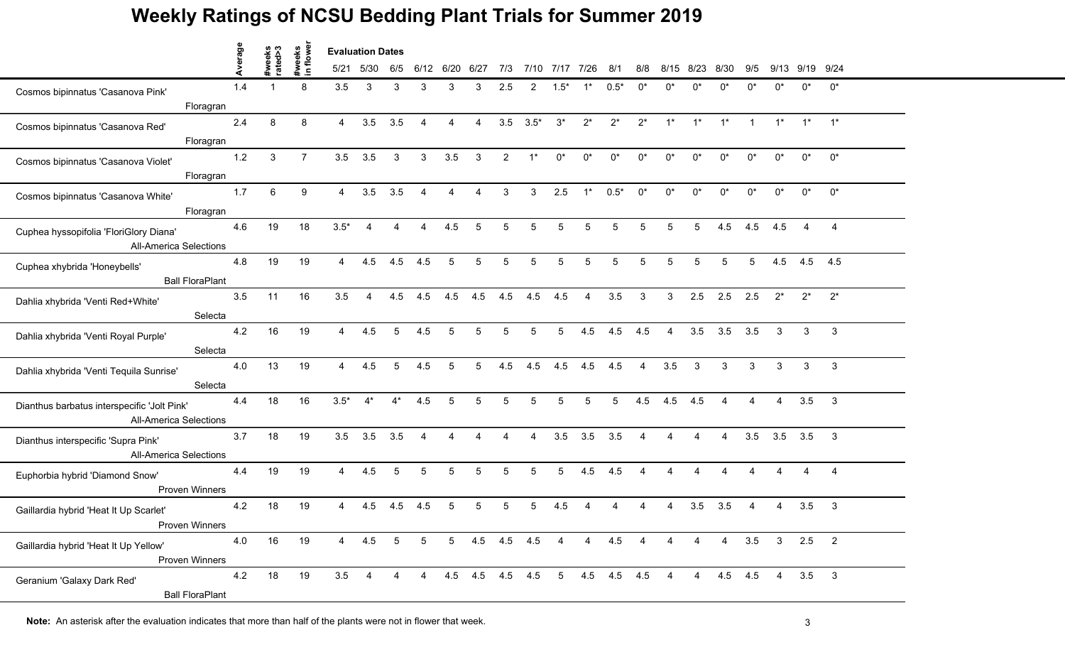|                                                                              | verage | #weeks<br>rated>3 | #weeks<br>in flower |                        | <b>Evaluation Dates</b> |                          |                          |                           |                 |                        |                |                |               |                 |                |                        |                        |                        |                        |                        |               |                |
|------------------------------------------------------------------------------|--------|-------------------|---------------------|------------------------|-------------------------|--------------------------|--------------------------|---------------------------|-----------------|------------------------|----------------|----------------|---------------|-----------------|----------------|------------------------|------------------------|------------------------|------------------------|------------------------|---------------|----------------|
|                                                                              |        |                   |                     |                        | 5/21 5/30               | 6/5                      | 6/12                     | 6/20                      | 6/27            | 7/3                    |                | 7/10 7/17 7/26 |               | 8/1             | 8/8            |                        | 8/15 8/23              | 8/30                   | 9/5                    | 9/13                   | 9/19 9/24     |                |
| Cosmos bipinnatus 'Casanova Pink'                                            | 1.4    |                   | 8                   | 3.5                    | 3                       | 3                        | 3                        | 3                         | 3               | 2.5                    | 2              | $1.5*$         |               | $0.5*$          | በ*             | n*                     |                        | n*                     |                        | በ*                     | n*            | $0^*$          |
| Floragran                                                                    |        |                   |                     |                        |                         |                          |                          |                           |                 |                        |                |                |               |                 |                |                        |                        |                        |                        |                        |               |                |
| Cosmos bipinnatus 'Casanova Red'                                             | 2.4    | 8                 | 8                   | $\overline{4}$         | 3.5                     | 3.5                      | $\boldsymbol{\varDelta}$ | $\boldsymbol{\varLambda}$ | $\Delta$        | 3.5                    | $3.5*$         | $3^*$          | $2^*$         | $2^*$           | $2^*$          | $1^*$                  | $1^*$                  | $1^*$                  | $\overline{1}$         | $1*$                   | $1^*$         | $1^*$          |
| Floragran                                                                    |        |                   |                     |                        |                         |                          |                          |                           |                 |                        |                |                |               |                 |                |                        |                        |                        |                        |                        |               |                |
| Cosmos bipinnatus 'Casanova Violet'                                          | 1.2    | 3                 | $\overline{7}$      | 3.5                    | 3.5                     | 3                        | 3 <sup>1</sup>           | 3.5                       | 3               | $\overline{2}$         | $1*$           | $0^*$          | $0^*$         | $0^*$           | $0^*$          | $0^*$                  | $0^*$                  | $0^*$                  | $0^*$                  | $0^*$                  | $0^*$         | $0^*$          |
| Floragran                                                                    |        |                   |                     |                        |                         |                          |                          |                           |                 |                        |                |                |               |                 |                |                        |                        |                        |                        |                        |               |                |
| Cosmos bipinnatus 'Casanova White'<br>Floragran                              | 1.7    | 6                 | 9                   | $\overline{4}$         | 3.5                     | 3.5                      | $\overline{4}$           | $\boldsymbol{\varDelta}$  |                 | 3                      | 3              | 2.5            | $1^*$         | $0.5*$          | $0^*$          | $0^*$                  | $0^*$                  | $0^*$                  | $0^*$                  | $0^*$                  | $0^*$         | $0^*$          |
|                                                                              | 4.6    | 19                | 18                  | $3.5*$                 |                         | $\boldsymbol{\varDelta}$ |                          | 4.5                       | 5               | 5                      | 5              | 5              | 5             | 5               | 5              | 5                      | 5                      | 4.5                    | 4.5                    | 4.5                    |               | $\overline{A}$ |
| Cuphea hyssopifolia 'FloriGlory Diana'                                       |        |                   |                     |                        |                         |                          |                          |                           |                 |                        |                |                |               |                 |                |                        |                        |                        |                        |                        |               |                |
| <b>All-America Selections</b>                                                |        |                   |                     |                        |                         |                          |                          |                           |                 |                        |                |                |               |                 |                |                        |                        |                        |                        |                        |               |                |
| Cuphea xhybrida 'Honeybells'                                                 | 4.8    | 19                | 19                  | $\overline{4}$         | 4.5                     | 4.5                      | 4.5                      | 5                         | 5               | $5\phantom{.0}$        | 5              | 5              | 5             | $5\phantom{.0}$ | 5              | 5                      | 5                      | 5                      | 5                      | 4.5                    | 4.5           | 4.5            |
| <b>Ball FloraPlant</b>                                                       |        |                   |                     |                        |                         |                          |                          |                           |                 |                        |                |                |               |                 |                |                        |                        |                        |                        |                        |               |                |
| Dahlia xhybrida 'Venti Red+White'                                            | 3.5    | 11                | 16                  | 3.5                    | $\overline{4}$          | 4.5                      | 4.5                      | 4.5                       | 4.5             | 4.5                    | 4.5            | 4.5            | 4             | 3.5             | 3              | 3                      | 2.5                    | 2.5                    | 2.5                    | $2^*$                  | $2^*$         | $2^*$          |
| Selecta                                                                      |        |                   |                     |                        |                         |                          |                          |                           |                 |                        |                |                |               |                 |                |                        |                        |                        |                        |                        |               |                |
| Dahlia xhybrida 'Venti Royal Purple'<br>Selecta                              | 4.2    | 16                | 19                  | $\overline{4}$         | 4.5                     | 5                        | 4.5                      | 5                         | 5               | 5                      | 5              | 5              | 4.5           | 4.5             | 4.5            | $\overline{4}$         | 3.5                    | 3.5                    | 3.5                    | 3                      | 3             | 3              |
| Dahlia xhybrida 'Venti Tequila Sunrise'                                      | 4.0    | 13                | 19                  | $\boldsymbol{\Lambda}$ | 4.5                     | $\overline{5}$           | 4.5                      | 5                         | 5               | 4.5                    | 4.5            | 4.5            | 4.5           | 4.5             | $\overline{A}$ | 3.5                    | 3                      | 3                      | 3                      | 3                      | 3             | 3              |
| Selecta                                                                      |        |                   |                     |                        |                         |                          |                          |                           |                 |                        |                |                |               |                 |                |                        |                        |                        |                        |                        |               |                |
| Dianthus barbatus interspecific 'Jolt Pink'<br><b>All-America Selections</b> | 4.4    | 18                | 16                  | $3.5*$                 | $4^*$                   | $4^*$                    | 4.5                      | 5                         | 5               | 5                      | 5              | 5              | 5             | 5               | 4.5            | 4.5                    | 4.5                    | $\boldsymbol{\Lambda}$ | $\boldsymbol{\Lambda}$ | $\overline{4}$         | 3.5           | $\mathbf{3}$   |
|                                                                              | 3.7    | 18                | 19                  | 3.5                    | 3.5                     | 3.5                      | $\boldsymbol{\Lambda}$   | 4                         | 4               | $\boldsymbol{\Lambda}$ | $\overline{4}$ | 3.5            | 3.5           | 3.5             | $\overline{4}$ | $\overline{4}$         | $\boldsymbol{\Lambda}$ | $\boldsymbol{\Lambda}$ | 3.5                    |                        | $3.5$ $3.5$   | $\mathbf{3}$   |
| Dianthus interspecific 'Supra Pink'                                          |        |                   |                     |                        |                         |                          |                          |                           |                 |                        |                |                |               |                 |                |                        |                        |                        |                        |                        |               |                |
| <b>All-America Selections</b>                                                |        |                   |                     |                        |                         |                          |                          |                           |                 |                        |                |                |               |                 |                |                        |                        |                        |                        |                        |               |                |
| Euphorbia hybrid 'Diamond Snow'<br><b>Proven Winners</b>                     | 4.4    | 19                | 19                  | $\overline{A}$         | 4.5                     | 5                        | 5                        | 5                         | 5               | 5                      | 5              | 5              | 4.5           | 4.5             | Δ              | $\boldsymbol{\Lambda}$ |                        |                        |                        |                        |               | $\overline{4}$ |
| Gaillardia hybrid 'Heat It Up Scarlet'                                       | 4.2    | 18                | 19                  | 4                      | 4.5                     | 4.5                      | 4.5                      | 5                         |                 | 5                      | 5              | 4.5            |               |                 |                | Δ                      | 3.5                    | 3.5                    |                        | $\boldsymbol{\Lambda}$ | 3.5           | 3              |
| Proven Winners                                                               |        |                   |                     |                        |                         |                          |                          |                           |                 |                        |                |                |               |                 |                |                        |                        |                        |                        |                        |               |                |
| Gaillardia hybrid 'Heat It Up Yellow'<br>Proven Winners                      | 4.0    | 16                | 19                  | $\overline{4}$         | 4.5                     | $5\overline{5}$          | $5\overline{)}$          |                           | 5 4.5 4.5 4.5   |                        |                | $\overline{4}$ |               | $4 \t 4.5 \t 4$ |                | $\overline{4}$         | $\overline{4}$         | $\overline{4}$         | 3.5                    | 3 <sup>7</sup>         | $2.5$ 2       |                |
|                                                                              | 4.2    | 18                | 19                  | 3.5                    | $\overline{4}$          | $\overline{4}$           | $\overline{4}$           |                           | 4.5 4.5 4.5 4.5 |                        |                |                | 5 4.5 4.5 4.5 |                 |                | $\overline{4}$         | $\overline{4}$         | 4.5 4.5                |                        | 4                      | $3.5\qquad 3$ |                |
| Geranium 'Galaxy Dark Red'<br><b>Ball FloraPlant</b>                         |        |                   |                     |                        |                         |                          |                          |                           |                 |                        |                |                |               |                 |                |                        |                        |                        |                        |                        |               |                |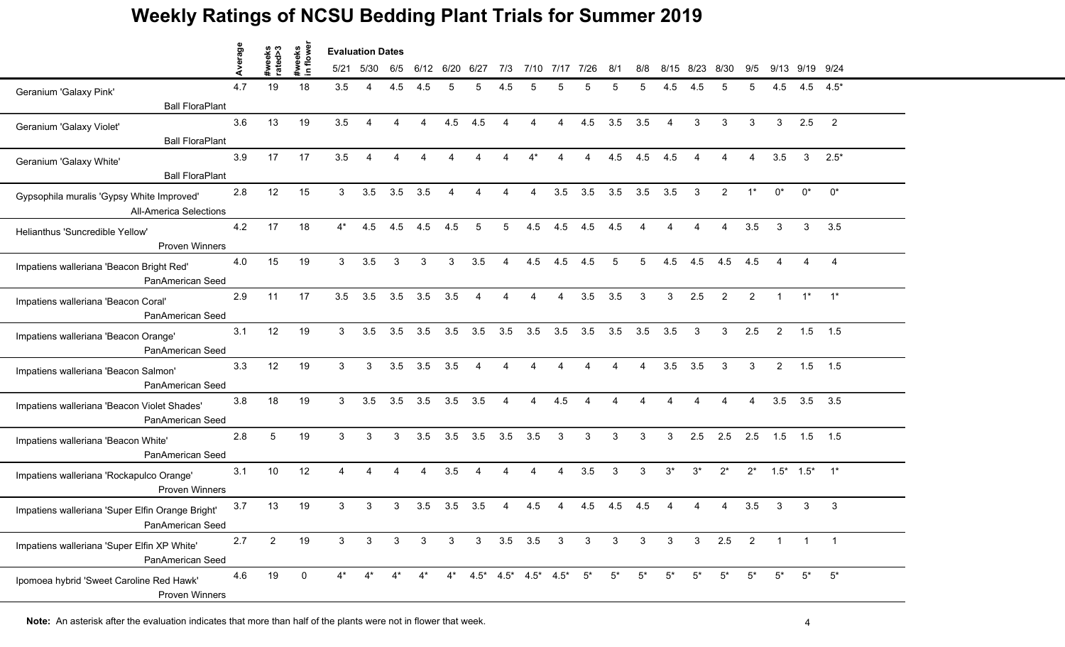|                                                                              | werage |                   | weeks       | <b>Evaluation Dates</b> |                        |                        |                |                         |                |                        |                                             |                |                |                        |                 |                |       |                        |                |                       |                |                |
|------------------------------------------------------------------------------|--------|-------------------|-------------|-------------------------|------------------------|------------------------|----------------|-------------------------|----------------|------------------------|---------------------------------------------|----------------|----------------|------------------------|-----------------|----------------|-------|------------------------|----------------|-----------------------|----------------|----------------|
|                                                                              |        | #weeks<br>rated>3 | $\epsilon$  | 5/21                    | 5/30                   | 6/5                    | 6/12           | 6/20                    | 6/27           | 7/3                    | 7/10                                        | 7/17           | 7/26           | 8/1                    | 8/8             | 8/15           | 8/23  | 8/30                   | 9/5            | 9/13                  |                | 9/19 9/24      |
| Geranium 'Galaxy Pink'                                                       | 4.7    | 19                | 18          | 3.5                     | 4                      | 4.5                    | 4.5            | 5                       |                | 4.5                    |                                             |                |                |                        |                 | 4.5            | 4.5   | 5                      | 5.             | 4.5                   | 4.5            | $4.5*$         |
| <b>Ball FloraPlant</b><br>Geranium 'Galaxy Violet'<br><b>Ball FloraPlant</b> | 3.6    | 13                | 19          | 3.5                     | 4                      | $\boldsymbol{\Lambda}$ | 4              | 4.5                     | 4.5            | $\boldsymbol{\Lambda}$ | $\overline{A}$                              | $\overline{4}$ | 4.5            | 3.5                    | 3.5             | $\overline{4}$ | 3     | 3                      | 3              | 3                     | 2.5            | $\overline{2}$ |
| Geranium 'Galaxy White'<br><b>Ball FloraPlant</b>                            | 3.9    | 17                | 17          | 3.5                     | 4                      | $\boldsymbol{\Lambda}$ | 4              | $\boldsymbol{\Lambda}$  | 4              | $\boldsymbol{\Lambda}$ | $4^*$                                       | $\Delta$       | $\overline{4}$ | 4.5                    | 4.5             | 4.5            | 4     | $\boldsymbol{\Lambda}$ | $\overline{4}$ | 3.5                   | 3 <sup>7</sup> | $2.5*$         |
| Gypsophila muralis 'Gypsy White Improved'<br><b>All-America Selections</b>   | 2.8    | 12                | 15          | 3                       | 3.5                    | 3.5                    | 3.5            | $\overline{4}$          | 4              | 4                      | 4                                           | 3.5            | 3.5            | 3.5                    | 3.5             | 3.5            | 3     | $\overline{2}$         | $1^*$          | $0^*$                 | $0^*$          | $0^*$          |
| Helianthus 'Suncredible Yellow'<br><b>Proven Winners</b>                     | 4.2    | 17                | 18          | $4^*$                   | 4.5                    | 4.5                    | 4.5            | 4.5                     | 5              | 5                      | 4.5                                         | 4.5            | 4.5            | 4.5                    |                 |                |       |                        | 3.5            | 3                     | 3              | 3.5            |
| Impatiens walleriana 'Beacon Bright Red'<br>PanAmerican Seed                 | 4.0    | 15                | 19          | 3                       | 3.5                    | 3                      | 3              | 3                       | 3.5            | $\overline{4}$         | 4.5                                         | 4.5            | 4.5            | $5\phantom{.0}$        | $5\overline{)}$ | 4.5            | 4.5   | 4.5                    | 4.5            | $\overline{4}$        | $\overline{4}$ | $\overline{4}$ |
| Impatiens walleriana 'Beacon Coral'<br>PanAmerican Seed                      | 2.9    | 11                | 17          | 3.5                     | 3.5                    | 3.5                    | 3.5            | 3.5                     | $\overline{4}$ | $\overline{4}$         | 4                                           | 4              | 3.5            | 3.5                    | $\mathbf{3}$    | 3              | 2.5   | 2                      | $\overline{2}$ | $\overline{1}$        | $1^*$ $1^*$    |                |
| Impatiens walleriana 'Beacon Orange'<br>PanAmerican Seed                     | 3.1    | 12                | 19          | 3                       | 3.5                    | 3.5                    | 3.5            | 3.5                     | 3.5            | 3.5                    | 3.5                                         | 3.5            | 3.5            | 3.5                    | 3.5             | 3.5            | 3     | 3                      | 2.5            | 2                     | 1.5            | 1.5            |
| Impatiens walleriana 'Beacon Salmon'<br>PanAmerican Seed                     | 3.3    | 12                | 19          | 3                       | 3                      | 3.5                    | 3.5            | 3.5                     | 4              |                        |                                             |                |                |                        | $\overline{A}$  | 3.5            | 3.5   | 3                      | 3              | $\overline{2}$        |                | $1.5$ 1.5      |
| Impatiens walleriana 'Beacon Violet Shades'<br>PanAmerican Seed              | 3.8    | 18                | 19          | 3                       | 3.5                    | 3.5                    | 3.5            | 3.5                     | 3.5            | $\overline{4}$         | $\overline{4}$                              | 4.5            | 4              | $\boldsymbol{\Lambda}$ | 4               | $\Delta$       | 4     | $\boldsymbol{\Lambda}$ | $\overline{A}$ | 3.5                   | 3.5            | 3.5            |
| Impatiens walleriana 'Beacon White'<br>PanAmerican Seed                      | 2.8    | 5                 | 19          | 3                       | 3                      | 3                      | 3.5            | 3.5                     | 3.5            | 3.5                    | 3.5                                         | $\mathbf{3}$   | 3              | 3                      | 3               | 3              | 2.5   | 2.5                    | 2.5            | 1.5                   | $1.5$ 1.5      |                |
| Impatiens walleriana 'Rockapulco Orange'<br><b>Proven Winners</b>            | 3.1    | 10                | 12          | 4                       | $\boldsymbol{\Lambda}$ | $\overline{4}$         | 4              | 3.5                     | 4              | 4                      | 4                                           | $\overline{4}$ | 3.5            | 3                      | 3               | $3^*$          | $3^*$ | $2^*$                  | $2^*$          | $1.5^*$ $1.5^*$ $1^*$ |                |                |
| Impatiens walleriana 'Super Elfin Orange Bright'<br>PanAmerican Seed         | 3.7    | 13                | 19          | 3                       | 3                      | 3                      | 3.5            | 3.5                     | 3.5            |                        | 4.5                                         |                | 4.5            | 4.5                    | 4.5             |                |       |                        | 3.5            | 3                     | 3              | 3              |
| Impatiens walleriana 'Super Elfin XP White'<br>PanAmerican Seed              | 2.7    | $\overline{2}$    | 19          | 3                       | 3 <sup>1</sup>         | 3 <sup>1</sup>         | 3 <sup>3</sup> | $\overline{\mathbf{3}}$ |                |                        | $3\quad 3.5\quad 3.5\quad 3$                |                |                | $3 \qquad 3$           | 3 <sup>1</sup>  | $\mathbf{3}$   |       | $3$ 2.5 2              |                | $\overline{1}$        |                | $1 \quad 1$    |
| Ipomoea hybrid 'Sweet Caroline Red Hawk'<br><b>Proven Winners</b>            | 4.6    | 19                | $\mathbf 0$ | $4^*$                   | $4^*$                  | $4^*$                  |                |                         |                |                        | $4^*$ $4.5^*$ $4.5^*$ $4.5^*$ $4.5^*$ $5^*$ |                |                | $5^*$                  | $5^*$           | $5^*$          | $5^*$ | $5*$                   | $5*$           | $5^*$                 | $5^*$          | $5*$           |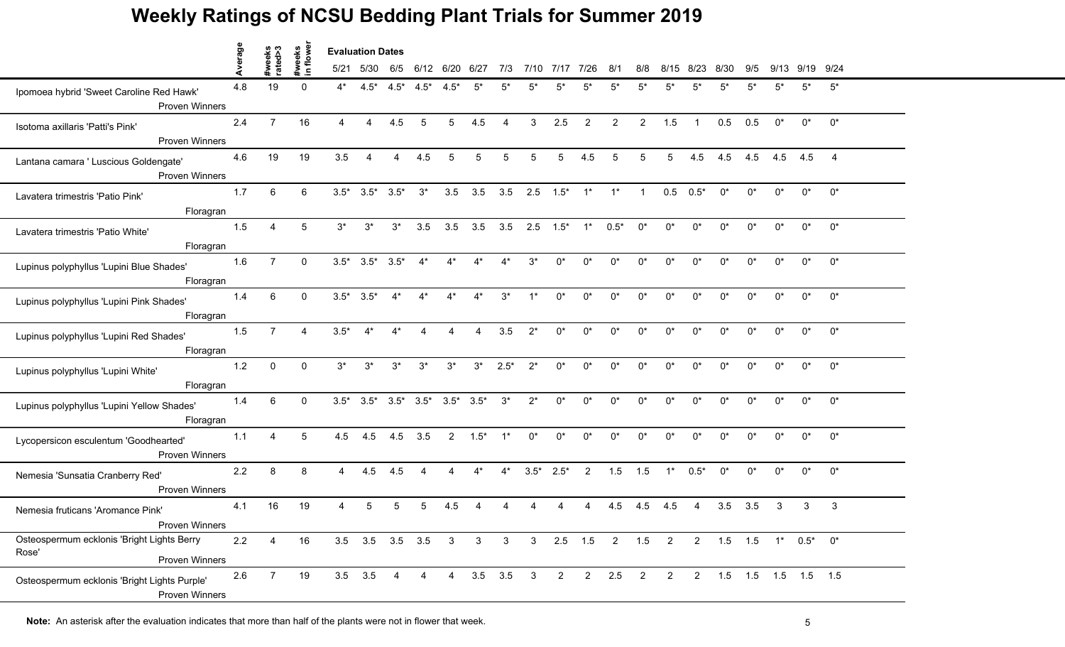|                                                                       | Average |                   | weeks<br>If In | <b>Evaluation Dates</b> |                         |                         |          |                                         |                |                         |                 |                           |                 |                |              |             |                |                            |            |             |                |                |
|-----------------------------------------------------------------------|---------|-------------------|----------------|-------------------------|-------------------------|-------------------------|----------|-----------------------------------------|----------------|-------------------------|-----------------|---------------------------|-----------------|----------------|--------------|-------------|----------------|----------------------------|------------|-------------|----------------|----------------|
|                                                                       |         | #weeks<br>rated>3 | $\mathbf{r}$   |                         | 5/21 5/30               | 6/5                     |          | 6/12 6/20 6/27                          |                | 7/3                     |                 | 7/10 7/17 7/26            |                 | 8/1            | 8/8          |             | 8/15 8/23      | 8/30                       | 9/5        |             | 9/13 9/19 9/24 |                |
| Ipomoea hybrid 'Sweet Caroline Red Hawk'<br><b>Proven Winners</b>     | 4.8     | 19                | U              | $4^*$                   |                         | $4.5^*$ $4.5^*$ $4.5^*$ |          | $4.5*$                                  | $5^*$          | 5*                      |                 | 5*                        |                 | 5*             |              | 5*          |                | $5*$                       |            | 5*          | $5*$           | $5*$           |
| Isotoma axillaris 'Patti's Pink'<br>Proven Winners                    | 2.4     | $\overline{7}$    | 16             | $\overline{\mathbf{4}}$ | 4                       | 4.5                     | 5        | 5                                       | 4.5            | 4                       | 3               | 2.5                       | $\overline{2}$  | $\overline{2}$ | $2^{\circ}$  | 1.5         | $\overline{1}$ | 0.5                        | 0.5        | $0^*$       | $0^*$          | $0^*$          |
| Lantana camara ' Luscious Goldengate'<br>Proven Winners               | 4.6     | 19                | 19             | 3.5                     |                         | 4                       | 4.5      | 5                                       | 5              | 5                       | $5^{\circ}$     | 5                         | 4.5             | 5              | $5^{\circ}$  | $5^{\circ}$ | 4.5            | 4.5                        | 4.5        | 4.5         | 4.5            | $\overline{4}$ |
| Lavatera trimestris 'Patio Pink'<br>Floragran                         | 1.7     | 6                 | 6              |                         | $3.5^*$ $3.5^*$ $3.5^*$ |                         | $3^*$    | 3.5                                     | 3.5            |                         |                 | $3.5$ $2.5$ $1.5^*$ $1^*$ |                 | $1^*$          | $\mathbf{1}$ |             | $0.5$ $0.5^*$  | $0^*$                      | $0^*$      | $0^*$       | $0^*$          | $0^*$          |
| Lavatera trimestris 'Patio White'<br>Floragran                        | 1.5     |                   | 5              | $3^*$                   | $3^*$                   | $3^*$                   | 3.5      | 3.5                                     | 3.5            |                         | $3.5$ 2.5       | $1.5*$                    | $1^*$           | $0.5*$         | $0^*$        | n*          | n*             | n*                         | n*         | $^{\wedge}$ | $0^*$          | $0^*$          |
| Lupinus polyphyllus 'Lupini Blue Shades'<br>Floragran                 | 1.6     | $\overline{7}$    | $\mathbf{0}$   |                         | $3.5^*$ $3.5^*$ $3.5^*$ |                         | $4^*$    | $4^*$                                   | $4^*$          | $4^*$                   | $3^*$           | $0^*$                     | $0^*$           | $0^*$          | $0^*$        | $0^*$       | $0^*$          | $0^*$                      | $0^*$      | $0^*$       | $0^*$          | $0^*$          |
| Lupinus polyphyllus 'Lupini Pink Shades'<br>Floragran                 | 1.4     | 6                 | $\Omega$       |                         | $3.5^*$ $3.5^*$         | $4^*$                   |          |                                         |                | $3^*$                   |                 | $0^*$                     | $0^*$           | $0^*$          | $^{\circ}$   | $0^*$       | $^{\circ}$     | $0^*$                      | $0^*$      | $0^*$       | $0^*$          | $0^*$          |
| Lupinus polyphyllus 'Lupini Red Shades'<br>Floragran                  | 1.5     | $\overline{7}$    | $\overline{A}$ | $3.5*$                  | $4^*$                   | $4^*$                   | $\Delta$ | 4                                       | 4              | 3.5                     | $2^*$           | $0^*$                     | $0^*$           | $0^*$          | $0^*$        | $0^*$       | $0^*$          | $0^*$                      | $0^*$      | $0^*$       | $0^*$          | $0^*$          |
| Lupinus polyphyllus 'Lupini White'<br>Floragran                       | $1.2$   | $\Omega$          | 0              | $3^*$                   | $3^*$                   | $3^*$                   | $3^*$    | $3^*$                                   | $3^*$          | $2.5*$                  | $2^*$           | n*                        | $0^*$           | $^{\circ}$     | $^{\wedge}$  | n*          | n*             | n*                         | n*         | $^{\wedge}$ | $0^*$          | $0^*$          |
| Lupinus polyphyllus 'Lupini Yellow Shades'<br>Floragran               | 1.4     | 6                 | $\Omega$       | $3.5*$                  |                         |                         |          | $3.5^*$ $3.5^*$ $3.5^*$ $3.5^*$ $3.5^*$ |                | $3^*$                   | $2^*$           | $0^*$                     | $0^*$           | $0^*$          | $0^*$        | $0^*$       | $0^*$          | $0^*$                      | $^{\circ}$ | $0^*$       | $0^*$          | $0^*$          |
| Lycopersicon esculentum 'Goodhearted'<br>Proven Winners               | 1.1     | 4                 | 5              | 4.5                     | 4.5                     | 4.5                     | 3.5      | 2                                       | $1.5*$         | $1*$                    | $0^*$           | $0^*$                     | $0^*$           | $0^*$          | n*           | n*          | $^{\circ}$     | $^{\circ}$                 | በ*         | $0^*$       | $0^*$          | $0^*$          |
| Nemesia 'Sunsatia Cranberry Red'<br>Proven Winners                    | 2.2     | 8                 | 8              | 4                       | 4.5                     | 4.5                     |          |                                         | $4^*$          | $4^*$                   | $3.5*$          | $2.5*$                    | $\overline{2}$  | 1.5            | 1.5          | $1^*$       | $0.5*$         | $0^*$                      | $0^*$      | $0^*$       | $0^*$          | $0^*$          |
| Nemesia fruticans 'Aromance Pink'<br>Proven Winners                   | 4.1     | 16                | 19             |                         |                         |                         |          | 4.5                                     |                |                         |                 |                           |                 | 4.5            | 4.5          | 4.5         | 4              | 3.5                        | 3.5        | 3           | 3              | 3              |
| Osteospermum ecklonis 'Bright Lights Berry<br>Rose'<br>Proven Winners | $2.2\,$ | $\overline{4}$    | 16             |                         | $3.5$ $3.5$ $3.5$ $3.5$ |                         |          | $\overline{\mathbf{3}}$                 | 3 <sup>3</sup> | $\overline{\mathbf{3}}$ | 3 <sup>7</sup>  |                           | 2.5 1.5 2 1.5 2 |                |              |             |                | 2 1.5 1.5 1* 0.5* 0*       |            |             |                |                |
| Osteospermum ecklonis 'Bright Lights Purple'<br>Proven Winners        | 2.6     | $\overline{7}$    | 19             |                         | $3.5\quad 3.5$          | $\overline{4}$          | 4        | $\overline{4}$                          |                |                         | $3.5$ $3.5$ $3$ |                           | 2 2 2.5 2 2     |                |              |             |                | 2  1.5  1.5  1.5  1.5  1.5 |            |             |                |                |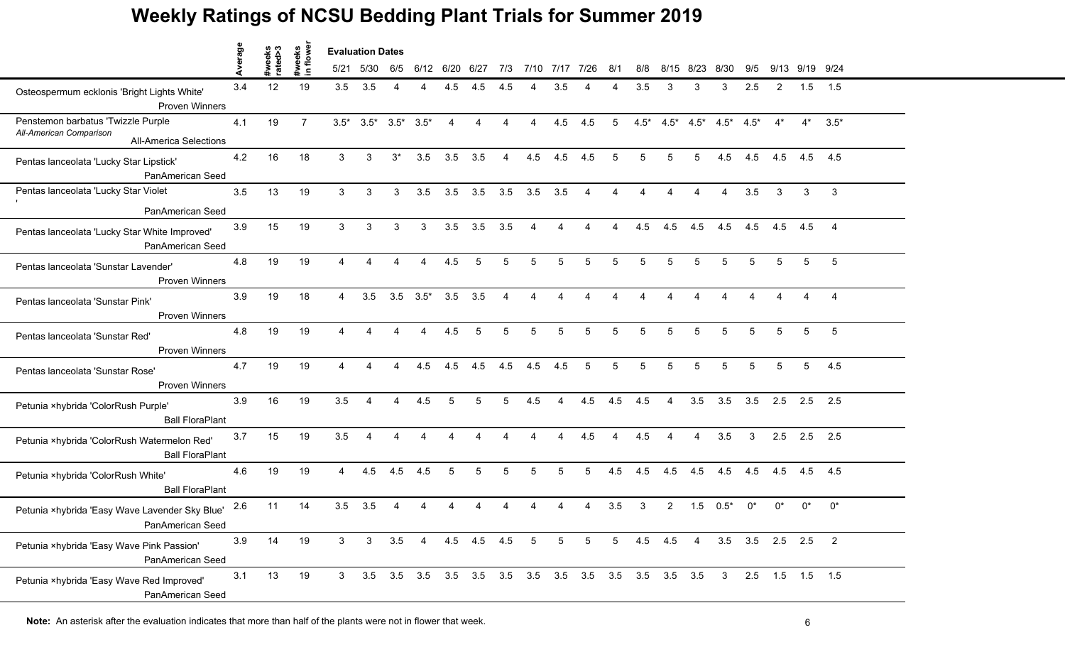|                                                                                                |         | #weeks<br>rated>3<br>weeks<br>1 flower<br><b>Evaluation Dates</b><br>5/21 5/30<br>7/10 7/17 7/26<br>8/15 8/23<br>9/19 9/24<br>9/13 |                |                |                                 |                        |                  |                        |                |                 |                 |                        |                                         |                        |     |                       |                |                                         |              |       |                     |                |
|------------------------------------------------------------------------------------------------|---------|------------------------------------------------------------------------------------------------------------------------------------|----------------|----------------|---------------------------------|------------------------|------------------|------------------------|----------------|-----------------|-----------------|------------------------|-----------------------------------------|------------------------|-----|-----------------------|----------------|-----------------------------------------|--------------|-------|---------------------|----------------|
|                                                                                                | Average |                                                                                                                                    | $\epsilon$     |                |                                 | 6/5                    | 6/12             | 6/20                   | 6/27           | 7/3             |                 |                        |                                         | 8/1                    | 8/8 |                       |                | 8/30                                    | 9/5          |       |                     |                |
| Osteospermum ecklonis 'Bright Lights White'<br><b>Proven Winners</b>                           | 3.4     | 12                                                                                                                                 | 19             | 3.5            | 3.5                             |                        |                  | 4.5                    | 4.5            | 4.5             |                 | 3.5                    |                                         |                        | 3.5 | 3                     | 3              | 3                                       | 2.5          | 2     |                     | $1.5$ 1.5      |
| Penstemon barbatus 'Twizzle Purple<br>All-American Comparison<br><b>All-America Selections</b> | 4.1     | 19                                                                                                                                 | $\overline{7}$ |                | $3.5^*$ $3.5^*$ $3.5^*$ $3.5^*$ |                        |                  | $\overline{4}$         | $\overline{4}$ | $\overline{4}$  | $\overline{4}$  | 4.5                    | 4.5                                     | 5                      |     |                       |                | $4.5^*$ $4.5^*$ $4.5^*$ $4.5^*$ $4.5^*$ |              | $4^*$ | $4^*$               | $3.5*$         |
| Pentas lanceolata 'Lucky Star Lipstick'<br>PanAmerican Seed                                    | 4.2     | 16                                                                                                                                 | 18             | 3 <sup>1</sup> | 3                               | $3^*$                  | 3.5              | 3.5                    | 3.5            | $\overline{4}$  | 4.5             | 4.5                    | 4.5                                     | 5                      | 5   | 5                     | $5^{\circ}$    |                                         |              |       | 4.5 4.5 4.5 4.5 4.5 |                |
| Pentas lanceolata 'Lucky Star Violet<br>PanAmerican Seed                                       | 3.5     | 13                                                                                                                                 | 19             | 3              | 3                               | 3                      | 3.5              | 3.5                    | 3.5            | 3.5             | 3.5             | 3.5                    | 4                                       | 4                      |     |                       |                | 4                                       | 3.5          | 3     | 3                   | 3              |
| Pentas lanceolata 'Lucky Star White Improved'<br>PanAmerican Seed                              | 3.9     | 15                                                                                                                                 | 19             | 3              | 3                               | 3                      | 3                | 3.5                    | 3.5            | 3.5             |                 |                        |                                         |                        | 4.5 | 4.5                   | 4.5            | 4.5                                     | 4.5          | 4.5   | 4.5                 | $\overline{4}$ |
| Pentas lanceolata 'Sunstar Lavender'<br>Proven Winners                                         | 4.8     | 19                                                                                                                                 | 19             | $\overline{4}$ | $\Delta$                        | $\overline{A}$         | 4                | 4.5                    | 5              | $5\phantom{.0}$ | $5\phantom{.0}$ | 5                      | 5                                       | 5                      | 5   | 5                     | 5              | 5                                       | 5            | 5     | 5                   | 5              |
| Pentas lanceolata 'Sunstar Pink'<br><b>Proven Winners</b>                                      | 3.9     | 19                                                                                                                                 | 18             | $\overline{4}$ | 3.5                             |                        | $3.5\quad 3.5^*$ | 3.5                    | 3.5            | $\overline{A}$  | $\overline{4}$  | $\boldsymbol{\Lambda}$ | $\overline{4}$                          | $\boldsymbol{\Lambda}$ | Δ   | $\overline{A}$        | 4              | $\mathbf{\Delta}$                       | 4            |       | 4                   | $\overline{A}$ |
| Pentas lanceolata 'Sunstar Red'<br><b>Proven Winners</b>                                       | 4.8     | 19                                                                                                                                 | 19             | 4              |                                 | $\boldsymbol{\Lambda}$ | $\overline{4}$   | 4.5                    | 5              | 5               | 5               | 5                      | 5                                       | 5                      | 5   | 5                     | 5              | 5                                       | 5            | 5     | 5                   | $\sqrt{5}$     |
| Pentas lanceolata 'Sunstar Rose'<br>Proven Winners                                             | 4.7     | 19                                                                                                                                 | 19             |                |                                 |                        | 4.5              | 4.5                    | 4.5            | 4.5             | 4.5             | 4.5                    | 5                                       | 5                      | 5   | 5                     | 5              |                                         | 5            | 5     | 5                   | 4.5            |
| Petunia ×hybrida 'ColorRush Purple'<br><b>Ball FloraPlant</b>                                  | 3.9     | 16                                                                                                                                 | 19             | 3.5            | $\boldsymbol{\Lambda}$          | 4                      | 4.5              | 5                      | 5              | 5               | 4.5             | $\overline{4}$         | 4.5                                     | 4.5                    | 4.5 | $\overline{4}$        | 3.5            | 3.5                                     | 3.5          | 2.5   | 2.5                 | 2.5            |
| Petunia ×hybrida 'ColorRush Watermelon Red'<br><b>Ball FloraPlant</b>                          | 3.7     | 15                                                                                                                                 | 19             | 3.5            | $\overline{4}$                  | $\boldsymbol{\Lambda}$ | $\overline{4}$   | $\boldsymbol{\Lambda}$ | $\overline{4}$ | $\mathbf 4$     | $\overline{4}$  | $\overline{4}$         | 4.5                                     | $\overline{A}$         | 4.5 | $\overline{4}$        | $\overline{A}$ | 3.5                                     | $\mathbf{3}$ |       | $2.5$ $2.5$ $2.5$   |                |
| Petunia ×hybrida 'ColorRush White'<br><b>Ball FloraPlant</b>                                   | 4.6     | 19                                                                                                                                 | 19             | $\overline{4}$ | 4.5                             | 4.5                    | 4.5              | 5                      | 5              | 5               | 5               | 5                      | 5                                       | 4.5                    | 4.5 | 4.5                   | 4.5            | 4.5                                     | 4.5          | 4.5   | 4.5 4.5             |                |
| Petunia ×hybrida 'Easy Wave Lavender Sky Blue' 2.6<br>PanAmerican Seed                         |         | 11                                                                                                                                 | 14             | 3.5            | 3.5                             |                        |                  |                        |                |                 |                 |                        |                                         | 3.5                    | 3   | $\mathbf{2}^{\prime}$ | 1.5            | $0.5*$                                  |              | n*    | $0^*$               | $0^*$          |
| Petunia ×hybrida 'Easy Wave Pink Passion'<br>PanAmerican Seed                                  | 3.9     | 14                                                                                                                                 | 19             | 3              | 3                               | 3.5                    | $\overline{4}$   |                        | 4.5 4.5 4.5    |                 | 5               | 5                      | $5\overline{)}$                         | $5\overline{)}$        | 4.5 | 4.5                   | 4              | 3.5                                     |              |       | 3.5 2.5 2.5 2       |                |
| Petunia ×hybrida 'Easy Wave Red Improved'<br>PanAmerican Seed                                  | 3.1     | 13                                                                                                                                 | 19             | 3              | 3.5                             |                        | $3.5\quad 3.5$   |                        |                |                 |                 |                        | 3.5 3.5 3.5 3.5 3.5 3.5 3.5 3.5 3.5 3.5 |                        |     |                       |                | 3                                       |              |       | 2.5 1.5 1.5 1.5     |                |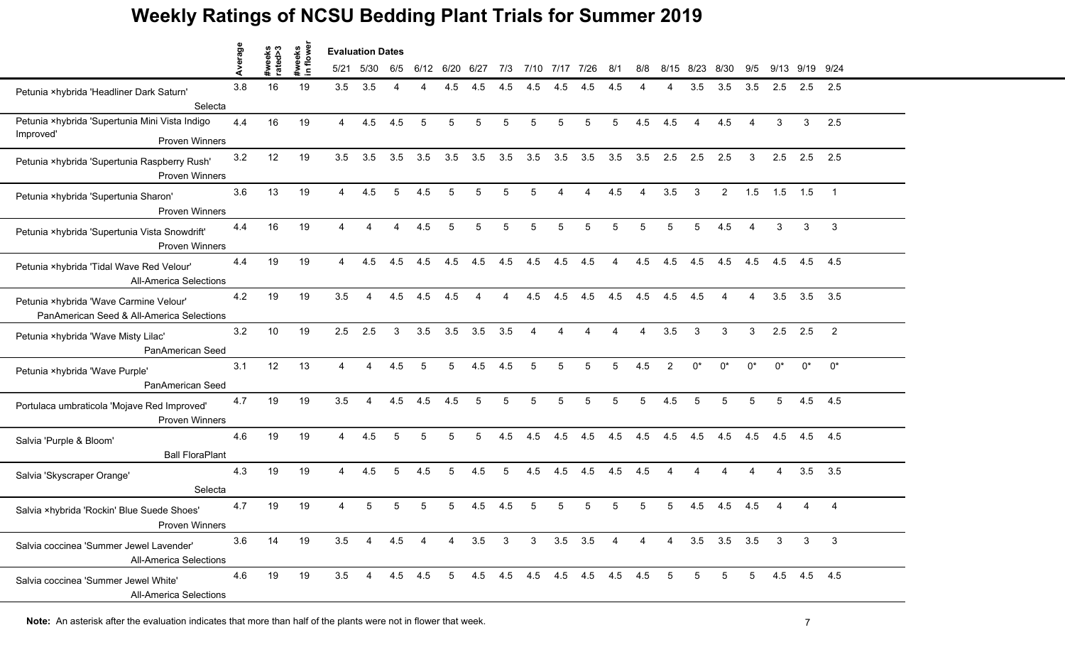|                                                                                      |         | #weeks<br>rated>3<br>#weeks<br>in flowe<br><b>Evaluation Dates</b><br>9/19 9/24 |    |                |                |                |             |                 |      |                          |                |      |                             |                          |                |                |                |                        |                |       |             |                |
|--------------------------------------------------------------------------------------|---------|---------------------------------------------------------------------------------|----|----------------|----------------|----------------|-------------|-----------------|------|--------------------------|----------------|------|-----------------------------|--------------------------|----------------|----------------|----------------|------------------------|----------------|-------|-------------|----------------|
|                                                                                      | Average |                                                                                 |    | 5/21           | 5/30           | 6/5            | 6/12        | 6/20            | 6/27 | 7/3                      | 7/10           | 7/17 | 7/26                        | 8/1                      | 8/8            | 8/15           | 8/23           | 8/30                   | 9/5            | 9/13  |             |                |
| Petunia ×hybrida 'Headliner Dark Saturn'<br>Selecta                                  | 3.8     | 16                                                                              | 19 | 3.5            | 3.5            |                |             | 4.5             | 4.5  | 4.5                      | 4.5            | 4.5  | 4.5                         | 4.5                      |                |                | 3.5            | 3.5                    | 3.5            | 2.5   | 2.5         | 2.5            |
| Petunia ×hybrida 'Supertunia Mini Vista Indigo<br>Improved'<br><b>Proven Winners</b> | 4.4     | 16                                                                              | 19 | $\overline{4}$ | 4.5            | 4.5            | 5           | 5               | 5    | 5                        | 5              | 5    | 5                           | 5                        | 4.5            | 4.5            | $\overline{4}$ | 4.5                    | $\overline{4}$ | 3     | 3           | 2.5            |
| Petunia ×hybrida 'Supertunia Raspberry Rush'<br><b>Proven Winners</b>                | 3.2     | 12                                                                              | 19 | 3.5            | 3.5            | 3.5            | 3.5         | 3.5             | 3.5  | 3.5                      | 3.5            | 3.5  | 3.5                         | 3.5                      | 3.5            | 2.5            | 2.5            | 2.5                    | 3              | 2.5   | $2.5$ 2.5   |                |
| Petunia ×hybrida 'Supertunia Sharon'<br><b>Proven Winners</b>                        | 3.6     | 13                                                                              | 19 | 4              | 4.5            | 5              | 4.5         | 5               | 5    | 5                        | 5              | Δ    | Δ                           | 4.5                      | $\overline{A}$ | 3.5            | 3              | $\overline{2}$         | 1.5            | 1.5   | 1.5         | $\overline{1}$ |
| Petunia ×hybrida 'Supertunia Vista Snowdrift'<br><b>Proven Winners</b>               | 4.4     | 16                                                                              | 19 | Δ              |                |                | 4.5         | 5               | 5    | 5                        | 5              | 5    | 5                           | 5                        | 5              | 5              | 5              | 4.5                    |                | 3     | 3           | 3              |
| Petunia ×hybrida 'Tidal Wave Red Velour'<br><b>All-America Selections</b>            | 4.4     | 19                                                                              | 19 | $\overline{4}$ | 4.5            | 4.5            | 4.5         | 4.5             | 4.5  | 4.5                      | 4.5            | 4.5  | 4.5                         | $\overline{4}$           | 4.5            | 4.5            | 4.5            | 4.5                    | 4.5            | 4.5   | 4.5         | 4.5            |
| Petunia ×hybrida 'Wave Carmine Velour'<br>PanAmerican Seed & All-America Selections  | 4.2     | 19                                                                              | 19 | 3.5            | 4              | 4.5            | 4.5         | 4.5             | 4    | $\boldsymbol{\varDelta}$ | 4.5            | 4.5  | 4.5                         | 4.5                      | 4.5            | 4.5            | 4.5            | $\boldsymbol{\Lambda}$ | 4              | 3.5   | 3.5         | 3.5            |
| Petunia ×hybrida 'Wave Misty Lilac'<br>PanAmerican Seed                              | 3.2     | 10                                                                              | 19 | 2.5            | 2.5            | 3              | 3.5         | 3.5             | 3.5  | 3.5                      | $\overline{4}$ | Δ    | Δ                           | $\boldsymbol{\varDelta}$ | 4              | 3.5            | 3              | 3                      | 3              | 2.5   | 2.5         | $\overline{2}$ |
| Petunia ×hybrida 'Wave Purple'<br>PanAmerican Seed                                   | 3.1     | 12                                                                              | 13 | 4              |                | 4.5            | 5           | 5               | 4.5  | 4.5                      | 5              | 5    | 5                           | 5                        | 4.5            | 2              | $^{\circ}$     | $^{\circ}$             | $^{\wedge}$    | $0^*$ | $0^*$       | $0^*$          |
| Portulaca umbraticola 'Mojave Red Improved'<br>Proven Winners                        | 4.7     | 19                                                                              | 19 | 3.5            | $\overline{4}$ | 4.5            | 4.5         | 4.5             | 5    | 5                        | 5              | 5    | 5                           | 5                        | 5              | 4.5            | 5              | 5                      | 5              | 5     | 4.5         | 4.5            |
| Salvia 'Purple & Bloom'<br><b>Ball FloraPlant</b>                                    | 4.6     | 19                                                                              | 19 | $\overline{4}$ | 4.5            | $\overline{5}$ | 5           | 5               | 5    | 4.5                      | 4.5            | 4.5  | 4.5                         | 4.5                      | 4.5            | 4.5            | 4.5            | 4.5                    | 4.5            | 4.5   | 4.5         | 4.5            |
| Salvia 'Skyscraper Orange'<br>Selecta                                                | 4.3     | 19                                                                              | 19 | 4              | 4.5            | 5              | 4.5         | 5               | 4.5  | 5                        | 4.5            | 4.5  | 4.5                         | 4.5                      | 4.5            |                |                |                        | 4              | 4     | 3.5         | 3.5            |
| Salvia ×hybrida 'Rockin' Blue Suede Shoes'<br>Proven Winners                         | 4.7     | 19                                                                              | 19 |                |                |                |             | 5               | 4.5  | 4.5                      | 5              | 5    | 5                           | 5                        | 5              | 5              | 4.5            | 4.5                    | 4.5            |       | 4           | 4              |
| Salvia coccinea 'Summer Jewel Lavender'<br><b>All-America Selections</b>             | 3.6     | 14                                                                              | 19 | 3.5            | 4              | $4.5$ 4        |             | 4               | 3.5  | $\overline{\mathbf{3}}$  | $\mathbf{3}$   |      | $3.5$ $3.5$                 | 4                        | $\overline{4}$ | $\overline{4}$ |                | $3.5$ $3.5$ $3.5$      |                | 3     | 3           | 3              |
| Salvia coccinea 'Summer Jewel White'<br><b>All-America Selections</b>                | 4.6     | 19                                                                              | 19 | 3.5            | 4              |                | $4.5$ $4.5$ | $5\overline{)}$ |      |                          |                |      | 4.5 4.5 4.5 4.5 4.5 4.5 4.5 |                          |                | 5              | 5              | 5                      | 5              |       | 4.5 4.5 4.5 |                |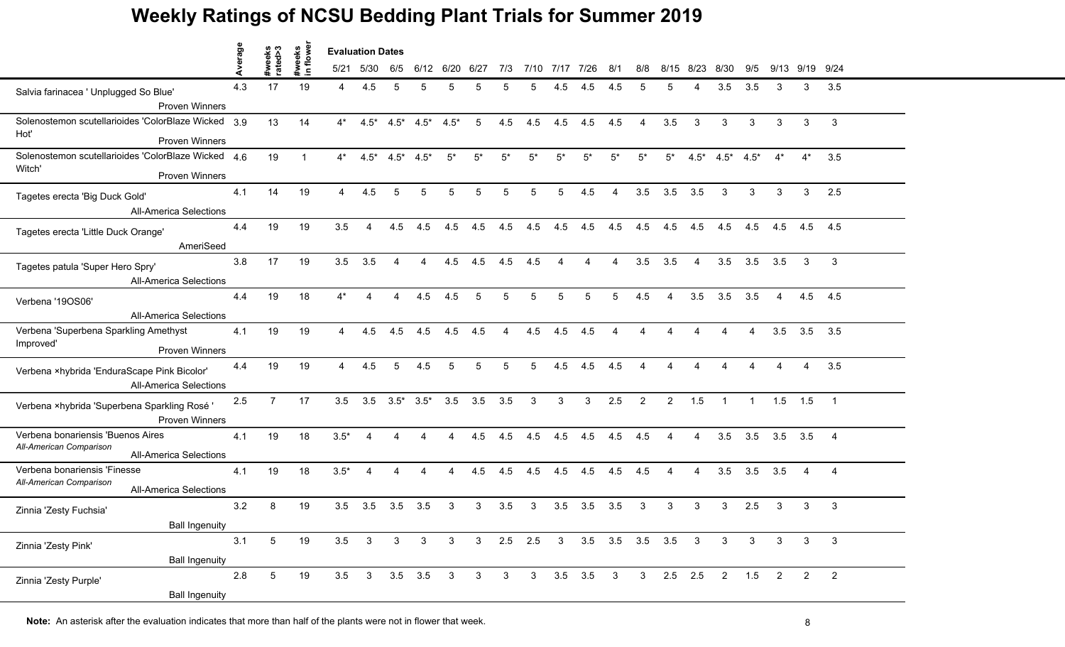|                                                                                               | verage | #weeks<br>rated>3<br>#weeks<br>in flowe<br><b>Evaluation Dates</b> |              |                |                        |                         |                 |                |                |                |                |                         |                          |                         |                |                             |                |                         |              |                 |                |                |
|-----------------------------------------------------------------------------------------------|--------|--------------------------------------------------------------------|--------------|----------------|------------------------|-------------------------|-----------------|----------------|----------------|----------------|----------------|-------------------------|--------------------------|-------------------------|----------------|-----------------------------|----------------|-------------------------|--------------|-----------------|----------------|----------------|
|                                                                                               | ∢      |                                                                    |              | 5/21           | 5/30                   | 6/5                     | 6/12            | 6/20           | 6/27           | 7/3            | 7/10           | 7/17                    | 7/26                     | 8/1                     | 8/8            |                             | 8/15 8/23      | 8/30                    | 9/5          | 9/13            | 9/19           | 9/24           |
| Salvia farinacea ' Unplugged So Blue'<br><b>Proven Winners</b>                                | 4.3    | 17                                                                 | 19           | 4              | 4.5                    | 5                       | 5               | 5              | 5              | 5              |                | 4.5                     | 4.5                      | 4.5                     | 5              | 5                           |                | 3.5                     | 3.5          | 3               | 3              | 3.5            |
| Solenostemon scutellarioides 'ColorBlaze Wicked 3.9<br>Hot'<br><b>Proven Winners</b>          |        | 13                                                                 | 14           | $4^*$          | $4.5*$                 | $4.5*$                  | $4.5*$          | $4.5*$         | 5              | 4.5            | 4.5            | 4.5                     | 4.5                      | 4.5                     | $\overline{4}$ | 3.5                         | 3              | 3                       | 3            | 3               | 3              | 3              |
| Solenostemon scutellarioides 'ColorBlaze Wicked 4.6<br>Witch'<br><b>Proven Winners</b>        |        | 19                                                                 | $\mathbf{1}$ | $4^*$          |                        | $4.5^*$ $4.5^*$ $4.5^*$ |                 | $5*$           | $5*$           | $5^*$          | $5*$           | $5^*$                   | $5*$                     | $5^*$                   | $5^*$          | $5^*$                       |                | $4.5^*$ $4.5^*$ $4.5^*$ |              | $4^*$           | $4^*$          | 3.5            |
| Tagetes erecta 'Big Duck Gold'<br><b>All-America Selections</b>                               | 4.1    | 14                                                                 | 19           | $\overline{4}$ | 4.5                    | 5                       | 5               | 5              | 5              | 5              | 5              | 5                       | 4.5                      | $\overline{4}$          | 3.5            | 3.5                         | 3.5            | 3                       | 3            | 3               | 3              | 2.5            |
| Tagetes erecta 'Little Duck Orange'<br>AmeriSeed                                              | 4.4    | 19                                                                 | 19           | 3.5            |                        | 4.5                     | 4.5             | 4.5            | 4.5            | 4.5            | 4.5            | 4.5                     | 4.5                      | 4.5                     | 4.5            | 4.5                         | 4.5            | 4.5                     | 4.5          | 4.5             | 4.5            | 4.5            |
| Tagetes patula 'Super Hero Spry'<br><b>All-America Selections</b>                             | 3.8    | 17                                                                 | 19           | 3.5            | 3.5                    | 4                       | $\overline{4}$  | 4.5            | 4.5            | 4.5            | 4.5            | $\overline{4}$          | $\boldsymbol{\varDelta}$ | $\overline{4}$          | 3.5            | 3.5                         | $\overline{4}$ | 3.5                     | 3.5          | 3.5             | 3              | 3              |
| Verbena '19OS06'<br><b>All-America Selections</b>                                             | 4.4    | 19                                                                 | 18           | $4^*$          | $\overline{4}$         | $\overline{4}$          | 4.5             | 4.5            | 5              | 5              | 5              | 5                       | 5                        | 5                       | 4.5            | $\overline{4}$              | 3.5            | 3.5                     | 3.5          | 4               | $4.5$ $4.5$    |                |
| Verbena 'Superbena Sparkling Amethyst<br>Improved'<br><b>Proven Winners</b>                   | 4.1    | 19                                                                 | 19           | $\overline{4}$ | 4.5                    | 4.5                     | 4.5             | 4.5            | 4.5            | $\overline{A}$ | 4.5            | 4.5                     | 4.5                      | Δ                       | 4              | 4                           |                | 4                       | 4            | 3.5             | 3.5            | 3.5            |
| Verbena ×hybrida 'EnduraScape Pink Bicolor'<br><b>All-America Selections</b>                  | 4.4    | 19                                                                 | 19           | 4              | 4.5                    | 5                       | 4.5             | 5              | 5              | 5              | 5              | 4.5                     | 4.5                      | 4.5                     |                |                             |                |                         |              |                 |                | 3.5            |
| Verbena ×hybrida 'Superbena Sparkling Rosé '<br><b>Proven Winners</b>                         | 2.5    | $\overline{7}$                                                     | 17           | 3.5            | 3.5                    | $3.5^*$ $3.5^*$         |                 | 3.5            | 3.5            | 3.5            | $\mathbf{3}$   | 3                       | $\mathbf{3}$             | 2.5                     | $\overline{2}$ | $\overline{2}$              | 1.5            | $\overline{1}$          | $\mathbf{1}$ | 1.5             | 1.5            | $\overline{1}$ |
| Verbena bonariensis 'Buenos Aires<br>All-American Comparison<br><b>All-America Selections</b> | 4.1    | 19                                                                 | 18           | $3.5*$         | $\boldsymbol{\Lambda}$ | 4                       | $\overline{4}$  | 4              | 4.5            | 4.5            | 4.5            | 4.5                     | 4.5 4.5                  |                         | 4.5            | 4                           | 4              | 3.5                     | 3.5          | 3.5             | 3.5            | $\overline{4}$ |
| Verbena bonariensis 'Finesse<br>All-American Comparison<br><b>All-America Selections</b>      | 4.1    | 19                                                                 | 18           | $3.5*$         | 4                      | 4                       | $\overline{4}$  | 4              | 4.5            | 4.5            | 4.5            | 4.5                     | 4.5                      | 4.5                     | 4.5            | 4                           | 4              | 3.5                     | 3.5          | 3.5             | 4              | $\overline{4}$ |
| Zinnia 'Zesty Fuchsia'<br><b>Ball Ingenuity</b>                                               | 3.2    | 8                                                                  | 19           | 3.5            | 3.5                    | 3.5                     | 3.5             | 3              | 3              | 3.5            | 3              | 3.5                     | 3.5                      | 3.5                     | 3              | 3                           | 3              | 3                       | 2.5          | 3               | 3              | 3              |
| Zinnia 'Zesty Pink'<br><b>Ball Ingenuity</b>                                                  | 3.1    | $5\overline{)}$                                                    | 19           | 3.5            | $\mathbf{3}$           | 3 <sup>1</sup>          | 3 <sup>1</sup>  | 3 <sup>1</sup> | 3 <sup>1</sup> |                | $2.5$ 2.5      | $\overline{\mathbf{3}}$ |                          |                         |                | $3.5$ $3.5$ $3.5$ $3.5$ $3$ |                | $\mathbf{3}$            | $\mathbf{3}$ | $\mathbf{3}$    | 3 <sup>7</sup> | $\mathbf{3}$   |
| Zinnia 'Zesty Purple'<br><b>Ball Ingenuity</b>                                                | 2.8    | $5\phantom{.0}$                                                    | 19           | 3.5            | $\mathbf{3}$           |                         | $3.5$ $3.5$ $3$ |                | $\mathbf{3}$   | 3 <sup>7</sup> | 3 <sup>7</sup> |                         | $3.5\quad 3.5$           | $\overline{\mathbf{3}}$ | 3 <sup>7</sup> |                             | $2.5$ 2.5      |                         |              | $2 \t 1.5 \t 2$ | $2^{\circ}$    | $\overline{2}$ |